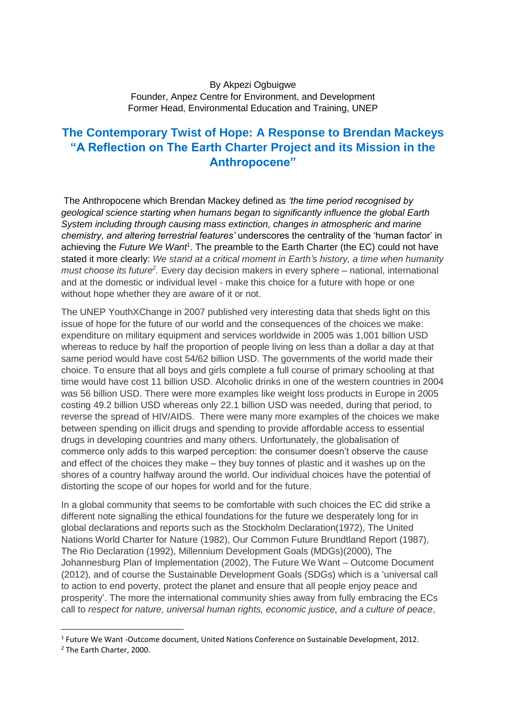## By Akpezi Ogbuigwe Founder, Anpez Centre for Environment, and Development Former Head, Environmental Education and Training, UNEP

## **The Contemporary Twist of Hope: A Response to Brendan Mackeys "A Reflection on The Earth Charter Project and its Mission in the Anthropocene"**

The Anthropocene which Brendan Mackey defined as *'the time period recognised by geological science starting when humans began to significantly influence the global Earth System including through causing mass extinction, changes in atmospheric and marine chemistry, and altering terrestrial features'* underscores the centrality of the 'human factor' in achieving the Future We Want<sup>1</sup>. The preamble to the Earth Charter (the EC) could not have stated it more clearly: *We stand at a critical moment in Earth's history, a time when humanity*  must choose its future<sup>2</sup>. Every day decision makers in every sphere – national, international and at the domestic or individual level - make this choice for a future with hope or one without hope whether they are aware of it or not.

The UNEP YouthXChange in 2007 published very interesting data that sheds light on this issue of hope for the future of our world and the consequences of the choices we make: expenditure on military equipment and services worldwide in 2005 was 1,001 billion USD whereas to reduce by half the proportion of people living on less than a dollar a day at that same period would have cost 54/62 billion USD. The governments of the world made their choice. To ensure that all boys and girls complete a full course of primary schooling at that time would have cost 11 billion USD. Alcoholic drinks in one of the western countries in 2004 was 56 billion USD. There were more examples like weight loss products in Europe in 2005 costing 49.2 billion USD whereas only 22.1 billion USD was needed, during that period, to reverse the spread of HIV/AIDS. There were many more examples of the choices we make between spending on illicit drugs and spending to provide affordable access to essential drugs in developing countries and many others. Unfortunately, the globalisation of commerce only adds to this warped perception: the consumer doesn't observe the cause and effect of the choices they make – they buy tonnes of plastic and it washes up on the shores of a country halfway around the world. Our individual choices have the potential of distorting the scope of our hopes for world and for the future.

In a global community that seems to be comfortable with such choices the EC did strike a different note signalling the ethical foundations for the future we desperately long for in global declarations and reports such as the Stockholm Declaration(1972), The United Nations World Charter for Nature (1982), Our Common Future Brundtland Report (1987), The Rio Declaration (1992), Millennium Development Goals (MDGs)(2000), The Johannesburg Plan of Implementation (2002), The Future We Want – Outcome Document (2012), and of course the Sustainable Development Goals (SDGs) which is a 'universal call to action to end poverty, protect the planet and ensure that all people enjoy peace and prosperity'. The more the international community shies away from fully embracing the ECs call to *respect for nature, universal human rights, economic justice, and a culture of peace*,

 $\overline{a}$ 

<sup>&</sup>lt;sup>1</sup> Future We Want -Outcome document, United Nations Conference on Sustainable Development, 2012.

<sup>2</sup> The Earth Charter, 2000.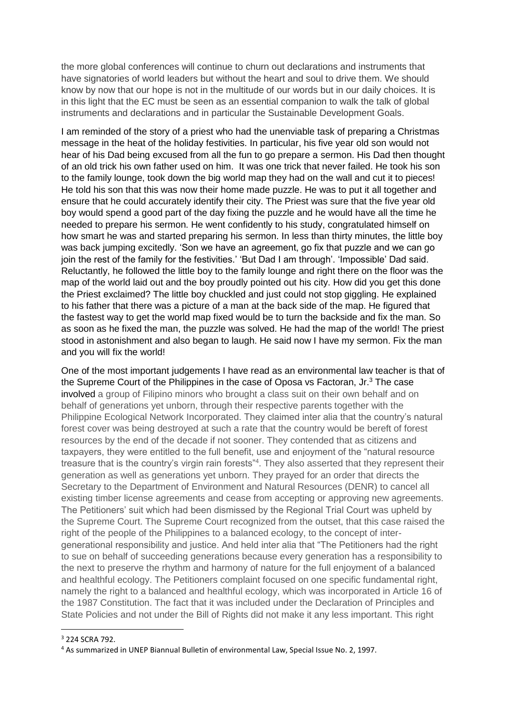the more global conferences will continue to churn out declarations and instruments that have signatories of world leaders but without the heart and soul to drive them. We should know by now that our hope is not in the multitude of our words but in our daily choices. It is in this light that the EC must be seen as an essential companion to walk the talk of global instruments and declarations and in particular the Sustainable Development Goals.

I am reminded of the story of a priest who had the unenviable task of preparing a Christmas message in the heat of the holiday festivities. In particular, his five year old son would not hear of his Dad being excused from all the fun to go prepare a sermon. His Dad then thought of an old trick his own father used on him. It was one trick that never failed. He took his son to the family lounge, took down the big world map they had on the wall and cut it to pieces! He told his son that this was now their home made puzzle. He was to put it all together and ensure that he could accurately identify their city. The Priest was sure that the five year old boy would spend a good part of the day fixing the puzzle and he would have all the time he needed to prepare his sermon. He went confidently to his study, congratulated himself on how smart he was and started preparing his sermon. In less than thirty minutes, the little boy was back jumping excitedly. 'Son we have an agreement, go fix that puzzle and we can go join the rest of the family for the festivities.' 'But Dad I am through'. 'Impossible' Dad said. Reluctantly, he followed the little boy to the family lounge and right there on the floor was the map of the world laid out and the boy proudly pointed out his city. How did you get this done the Priest exclaimed? The little boy chuckled and just could not stop giggling. He explained to his father that there was a picture of a man at the back side of the map. He figured that the fastest way to get the world map fixed would be to turn the backside and fix the man. So as soon as he fixed the man, the puzzle was solved. He had the map of the world! The priest stood in astonishment and also began to laugh. He said now I have my sermon. Fix the man and you will fix the world!

One of the most important judgements I have read as an environmental law teacher is that of the Supreme Court of the Philippines in the case of Oposa vs Factoran, Jr.<sup>3</sup> The case involved a group of Filipino minors who brought a class suit on their own behalf and on behalf of generations yet unborn, through their respective parents together with the Philippine Ecological Network Incorporated. They claimed inter alia that the country's natural forest cover was being destroyed at such a rate that the country would be bereft of forest resources by the end of the decade if not sooner. They contended that as citizens and taxpayers, they were entitled to the full benefit, use and enjoyment of the "natural resource treasure that is the country's virgin rain forests<sup>"4</sup>. They also asserted that they represent their generation as well as generations yet unborn. They prayed for an order that directs the Secretary to the Department of Environment and Natural Resources (DENR) to cancel all existing timber license agreements and cease from accepting or approving new agreements. The Petitioners' suit which had been dismissed by the Regional Trial Court was upheld by the Supreme Court. The Supreme Court recognized from the outset, that this case raised the right of the people of the Philippines to a balanced ecology, to the concept of intergenerational responsibility and justice. And held inter alia that "The Petitioners had the right to sue on behalf of succeeding generations because every generation has a responsibility to the next to preserve the rhythm and harmony of nature for the full enjoyment of a balanced and healthful ecology. The Petitioners complaint focused on one specific fundamental right, namely the right to a balanced and healthful ecology, which was incorporated in Article 16 of the 1987 Constitution. The fact that it was included under the Declaration of Principles and State Policies and not under the Bill of Rights did not make it any less important. This right

 $\overline{a}$ 

<sup>3</sup> 224 SCRA 792.

<sup>4</sup> As summarized in UNEP Biannual Bulletin of environmental Law, Special Issue No. 2, 1997.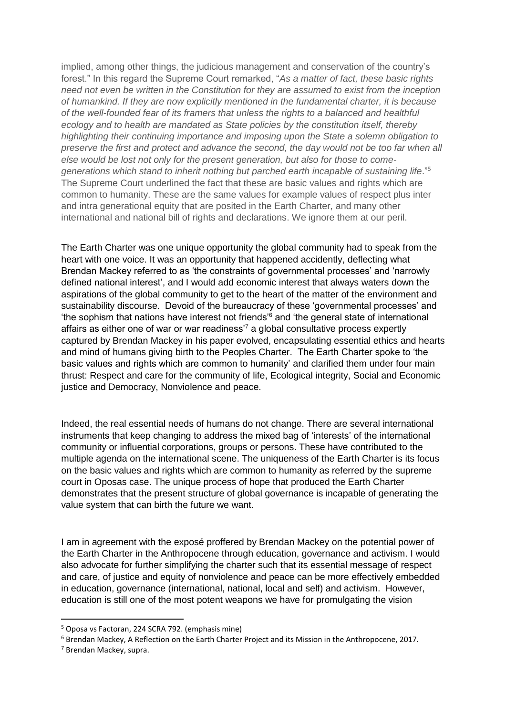implied, among other things, the judicious management and conservation of the country's forest." In this regard the Supreme Court remarked, "*As a matter of fact, these basic rights need not even be written in the Constitution for they are assumed to exist from the inception of humankind. If they are now explicitly mentioned in the fundamental charter, it is because of the well-founded fear of its framers that unless the rights to a balanced and healthful ecology and to health are mandated as State policies by the constitution itself, thereby highlighting their continuing importance and imposing upon the State a solemn obligation to preserve the first and protect and advance the second, the day would not be too far when all else would be lost not only for the present generation, but also for those to comegenerations which stand to inherit nothing but parched earth incapable of sustaining life*."<sup>5</sup> The Supreme Court underlined the fact that these are basic values and rights which are common to humanity. These are the same values for example values of respect plus inter and intra generational equity that are posited in the Earth Charter, and many other international and national bill of rights and declarations. We ignore them at our peril.

The Earth Charter was one unique opportunity the global community had to speak from the heart with one voice. It was an opportunity that happened accidently, deflecting what Brendan Mackey referred to as 'the constraints of governmental processes' and 'narrowly defined national interest', and I would add economic interest that always waters down the aspirations of the global community to get to the heart of the matter of the environment and sustainability discourse. Devoid of the bureaucracy of these 'governmental processes' and 'the sophism that nations have interest not friends'<sup>6</sup> and 'the general state of international affairs as either one of war or war readiness<sup>7</sup> a global consultative process expertly captured by Brendan Mackey in his paper evolved, encapsulating essential ethics and hearts and mind of humans giving birth to the Peoples Charter. The Earth Charter spoke to 'the basic values and rights which are common to humanity' and clarified them under four main thrust: Respect and care for the community of life, Ecological integrity, Social and Economic justice and Democracy, Nonviolence and peace.

Indeed, the real essential needs of humans do not change. There are several international instruments that keep changing to address the mixed bag of 'interests' of the international community or influential corporations, groups or persons. These have contributed to the multiple agenda on the international scene. The uniqueness of the Earth Charter is its focus on the basic values and rights which are common to humanity as referred by the supreme court in Oposas case. The unique process of hope that produced the Earth Charter demonstrates that the present structure of global governance is incapable of generating the value system that can birth the future we want.

I am in agreement with the exposé proffered by Brendan Mackey on the potential power of the Earth Charter in the Anthropocene through education, governance and activism. I would also advocate for further simplifying the charter such that its essential message of respect and care, of justice and equity of nonviolence and peace can be more effectively embedded in education, governance (international, national, local and self) and activism. However, education is still one of the most potent weapons we have for promulgating the vision

**.** 

<sup>5</sup> Oposa vs Factoran, 224 SCRA 792. (emphasis mine)

<sup>6</sup> Brendan Mackey, A Reflection on the Earth Charter Project and its Mission in the Anthropocene, 2017.

<sup>7</sup> Brendan Mackey, supra.